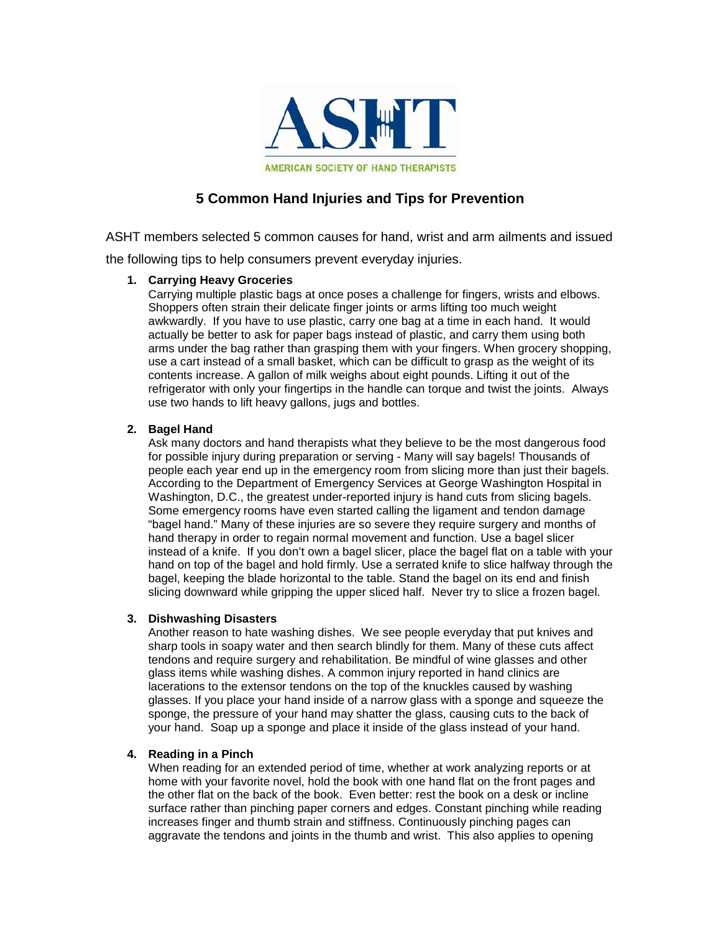

# **5 Common Hand Injuries and Tips for Prevention**

ASHT members selected 5 common causes for hand, wrist and arm ailments and issued

the following tips to help consumers prevent everyday injuries.

## **1. Carrying Heavy Groceries**

Carrying multiple plastic bags at once poses a challenge for fingers, wrists and elbows. Shoppers often strain their delicate finger joints or arms lifting too much weight awkwardly. If you have to use plastic, carry one bag at a time in each hand. It would actually be better to ask for paper bags instead of plastic, and carry them using both arms under the bag rather than grasping them with your fingers. When grocery shopping, use a cart instead of a small basket, which can be difficult to grasp as the weight of its contents increase. A gallon of milk weighs about eight pounds. Lifting it out of the refrigerator with only your fingertips in the handle can torque and twist the joints. Always use two hands to lift heavy gallons, jugs and bottles.

# **2. Bagel Hand**

Ask many doctors and hand therapists what they believe to be the most dangerous food for possible injury during preparation or serving - Many will say bagels! Thousands of people each year end up in the emergency room from slicing more than just their bagels. According to the Department of Emergency Services at George Washington Hospital in Washington, D.C., the greatest under-reported injury is hand cuts from slicing bagels. Some emergency rooms have even started calling the ligament and tendon damage "bagel hand." Many of these injuries are so severe they require surgery and months of hand therapy in order to regain normal movement and function. Use a bagel slicer instead of a knife. If you don't own a bagel slicer, place the bagel flat on a table with your hand on top of the bagel and hold firmly. Use a serrated knife to slice halfway through the bagel, keeping the blade horizontal to the table. Stand the bagel on its end and finish slicing downward while gripping the upper sliced half. Never try to slice a frozen bagel.

#### **3. Dishwashing Disasters**

Another reason to hate washing dishes. We see people everyday that put knives and sharp tools in soapy water and then search blindly for them. Many of these cuts affect tendons and require surgery and rehabilitation. Be mindful of wine glasses and other glass items while washing dishes. A common injury reported in hand clinics are lacerations to the extensor tendons on the top of the knuckles caused by washing glasses. If you place your hand inside of a narrow glass with a sponge and squeeze the sponge, the pressure of your hand may shatter the glass, causing cuts to the back of your hand. Soap up a sponge and place it inside of the glass instead of your hand.

# **4. Reading in a Pinch**

When reading for an extended period of time, whether at work analyzing reports or at home with your favorite novel, hold the book with one hand flat on the front pages and the other flat on the back of the book. Even better: rest the book on a desk or incline surface rather than pinching paper corners and edges. Constant pinching while reading increases finger and thumb strain and stiffness. Continuously pinching pages can aggravate the tendons and joints in the thumb and wrist. This also applies to opening